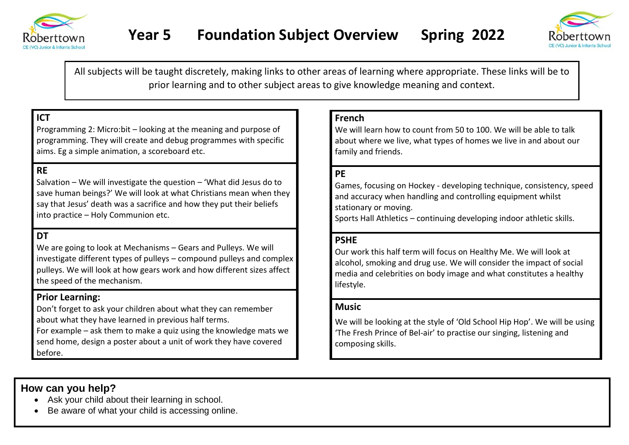



All subjects will be taught discretely, making links to other areas of learning where appropriate. These links will be to prior learning and to other subject areas to give knowledge meaning and context.

# **ICT**

Programming 2: Micro:bit – looking at the meaning and purpose of programming. They will create and debug programmes with specific aims. Eg a simple animation, a scoreboard etc.

## **RE**

Salvation – We will investigate the question – 'What did Jesus do to save human beings?' We will look at what Christians mean when they say that Jesus' death was a sacrifice and how they put their beliefs into practice – Holy Communion etc.

#### **DT**

We are going to look at Mechanisms – Gears and Pulleys. We will investigate different types of pulleys – compound pulleys and complex pulleys. We will look at how gears work and how different sizes affect the speed of the mechanism.

#### **Prior Learning:**

Don't forget to ask your children about what they can remember about what they have learned in previous half terms.

For example – ask them to make a quiz using the knowledge mats we send home, design a poster about a unit of work they have covered before.

#### **French**

We will learn how to count from 50 to 100. We will be able to talk about where we live, what types of homes we live in and about our family and friends.

### **PE**

Games, focusing on Hockey - developing technique, consistency, speed and accuracy when handling and controlling equipment whilst stationary or moving. Sports Hall Athletics – continuing developing indoor athletic skills.

#### **PSHE**

Our work this half term will focus on Healthy Me. We will look at alcohol, smoking and drug use. We will consider the impact of social media and celebrities on body image and what constitutes a healthy lifestyle.

#### **Music**

We will be looking at the style of 'Old School Hip Hop'. We will be using 'The Fresh Prince of Bel-air' to practise our singing, listening and composing skills.

## **How can you help?**

- Ask your child about their learning in school.
- Be aware of what your child is accessing online.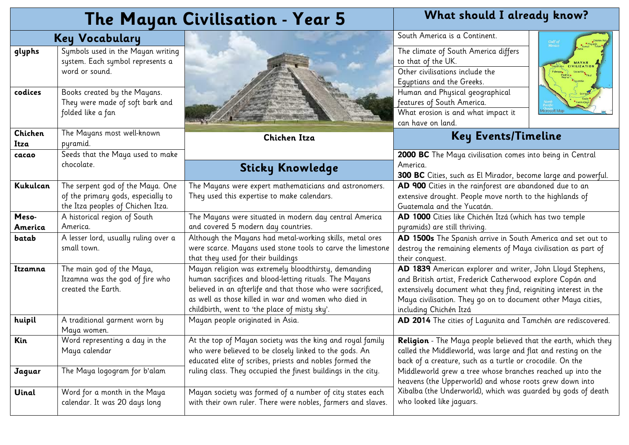|                  | The Mayan Civilisation - Year 5                                                                             | What should I already know?                                                                                                                                                                                                                                                             |                                                                                                                                                                                                                                                                                       |
|------------------|-------------------------------------------------------------------------------------------------------------|-----------------------------------------------------------------------------------------------------------------------------------------------------------------------------------------------------------------------------------------------------------------------------------------|---------------------------------------------------------------------------------------------------------------------------------------------------------------------------------------------------------------------------------------------------------------------------------------|
|                  | <b>Key Vocabulary</b>                                                                                       |                                                                                                                                                                                                                                                                                         | South America is a Continent.<br>Gulf of<br>Mexico                                                                                                                                                                                                                                    |
| glyphs           | Symbols used in the Mayan writing<br>system. Each symbol represents a<br>word or sound.                     |                                                                                                                                                                                                                                                                                         | The climate of South America differs<br>to that of the UK.<br>Other civilisations include the<br>Egyptians and the Greeks.                                                                                                                                                            |
| codices          | Books created by the Mayans.<br>They were made of soft bark and<br>folded like a fan                        |                                                                                                                                                                                                                                                                                         | Human and Physical geographical<br>features of South America.<br>What erosion is and what impact it<br>can have on land.                                                                                                                                                              |
| Chichen<br>Itza  | The Mayans most well-known<br>pyramid.                                                                      | Chichen Itza                                                                                                                                                                                                                                                                            | <b>Key Events/Timeline</b>                                                                                                                                                                                                                                                            |
| cacao            | Seeds that the Maya used to make<br>chocolate.                                                              | <b>Sticky Knowledge</b>                                                                                                                                                                                                                                                                 | 2000 BC The Maya civilisation comes into being in Central<br>America.<br>300 BC Cities, such as El Mirador, become large and powerful.                                                                                                                                                |
| Kukulcan         | The serpent god of the Maya. One<br>of the primary gods, especially to<br>the Itza peoples of Chichen Itza. | The Mayans were expert mathematicians and astronomers.<br>They used this expertise to make calendars.                                                                                                                                                                                   | AD 900 Cities in the rainforest are abandoned due to an<br>extensive drought. People move north to the highlands of<br>Guatemala and the Yucatán.                                                                                                                                     |
| Meso-<br>America | A historical region of South<br>America.                                                                    | The Mayans were situated in modern day central America<br>and covered 5 modern day countries.                                                                                                                                                                                           | AD 1000 Cities like Chichén Itzá (which has two temple<br>pyramids) are still thriving.                                                                                                                                                                                               |
| batab            | A lesser lord, usually ruling over a<br>small town.                                                         | Although the Mayans had metal-working skills, metal ores<br>were scarce. Mayans used stone tools to carve the limestone<br>that they used for their buildings                                                                                                                           | AD 1500s The Spanish arrive in South America and set out to<br>destroy the remaining elements of Maya civilisation as part of<br>their conquest.                                                                                                                                      |
| Itzamna          | The main god of the Maya,<br>Itzamna was the god of fire who<br>created the Earth.                          | Mayan religion was extremely bloodthirsty, demanding<br>human sacrifices and blood-letting rituals. The Mayans<br>believed in an afterlife and that those who were sacrificed,<br>as well as those killed in war and women who died in<br>childbirth, went to 'the place of misty sky'. | AD 1839 American explorer and writer, John Lloyd Stephens,<br>and British artist, Frederick Catherwood explore Copán and<br>extensively document what they find, reigniting interest in the<br>Maya civilisation. They go on to document other Maya cities,<br>including Chichén Itzá |
| huipil           | A traditional garment worn by<br>Maya women.                                                                | Mayan people originated in Asia.                                                                                                                                                                                                                                                        | AD 2014 The cities of Lagunita and Tamchén are rediscovered.                                                                                                                                                                                                                          |
| Kin              | Word representing a day in the<br>Maya calendar                                                             | At the top of Mayan society was the king and royal family<br>who were believed to be closely linked to the gods. An<br>educated elite of scribes, priests and nobles formed the                                                                                                         | Religion - The Maya people believed that the earth, which they<br>called the Middleworld, was large and flat and resting on the<br>back of a creature, such as a turtle or crocodile. On the                                                                                          |
| Jaguar           | The Maya logogram for b'alam                                                                                | ruling class. They occupied the finest buildings in the city.                                                                                                                                                                                                                           | Middleworld grew a tree whose branches reached up into the<br>heavens (the Upperworld) and whose roots grew down into                                                                                                                                                                 |
| Uinal            | Word for a month in the Maya<br>calendar. It was 20 days long                                               | Mayan society was formed of a number of city states each<br>with their own ruler. There were nobles, farmers and slaves.                                                                                                                                                                | Xibalba (the Underworld), which was guarded by gods of death<br>who looked like jaguars.                                                                                                                                                                                              |